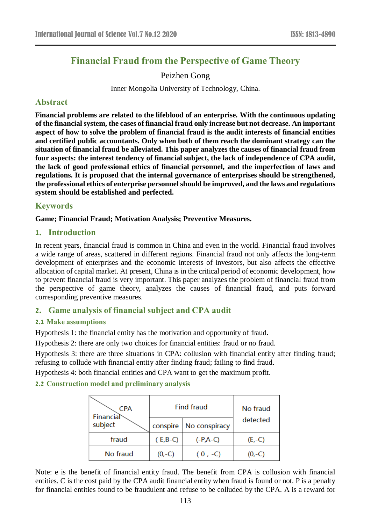# **Financial Fraud from the Perspective of Game Theory**

# Peizhen Gong

Inner Mongolia University of Technology, China.

# **Abstract**

**Financial problems are related to the lifeblood of an enterprise. With the continuous updating of the financial system, the cases of financial fraud only increase but not decrease. An important aspect of how to solve the problem of financial fraud is the audit interests of financial entities and certified public accountants. Only when both of them reach the dominant strategy can the situation of financial fraud be alleviated. This paper analyzes the causes of financial fraud from four aspects: the interest tendency of financial subject, the lack of independence of CPA audit, the lack of good professional ethics of financial personnel, and the imperfection of laws and regulations. It is proposed that the internal governance of enterprises should be strengthened, the professional ethics of enterprise personnel should be improved, and the laws and regulations system should be established and perfected.**

# **Keywords**

### **Game; Financial Fraud; Motivation Analysis; Preventive Measures.**

## **1. Introduction**

In recent years, financial fraud is common in China and even in the world. Financial fraud involves a wide range of areas, scattered in different regions. Financial fraud not only affects the long-term development of enterprises and the economic interests of investors, but also affects the effective allocation of capital market. At present, China is in the critical period of economic development, how to prevent financial fraud is very important. This paper analyzes the problem of financial fraud from the perspective of game theory, analyzes the causes of financial fraud, and puts forward corresponding preventive measures.

# **2. Game analysis of financial subject and CPA audit**

### **2.1 Make assumptions**

Hypothesis 1: the financial entity has the motivation and opportunity of fraud.

Hypothesis 2: there are only two choices for financial entities: fraud or no fraud.

Hypothesis 3: there are three situations in CPA: collusion with financial entity after finding fraud; refusing to collude with financial entity after finding fraud; failing to find fraud.

Hypothesis 4: both financial entities and CPA want to get the maximum profit.

### **2.2 Construction model and preliminary analysis**

| <b>CPA</b><br>Financial<br>subject | <b>Find fraud</b> |               | No fraud |
|------------------------------------|-------------------|---------------|----------|
|                                    | conspire          | No conspiracy | detected |
| fraud                              | $(E,B-C)$         | $(-P,A-C)$    | $(E,-C)$ |
| No fraud                           | $(0,-C)$          | $(0, -C)$     | $(0,-C)$ |

Note: e is the benefit of financial entity fraud. The benefit from CPA is collusion with financial entities. C is the cost paid by the CPA audit financial entity when fraud is found or not. P is a penalty for financial entities found to be fraudulent and refuse to be colluded by the CPA. A is a reward for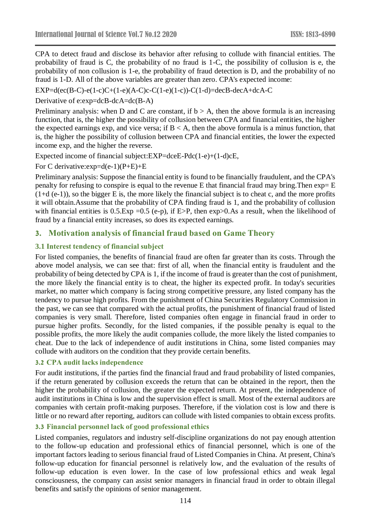CPA to detect fraud and disclose its behavior after refusing to collude with financial entities. The probability of fraud is C, the probability of no fraud is 1-C, the possibility of collusion is e, the probability of non collusion is 1-e, the probability of fraud detection is D, and the probability of no fraud is 1-D. All of the above variables are greater than zero. CPA's expected income:

 $EXP=d(ec(B-C)-e(1-c)C+(1-e)(A-C)c-C(1-e)(1-c))-C(1-d)=decB-decA+dcA-C$ 

Derivative of e:exp=dcB-dcA=dc(B-A)

Preliminary analysis: when D and C are constant, if  $b > A$ , then the above formula is an increasing function, that is, the higher the possibility of collusion between CPA and financial entities, the higher the expected earnings exp, and vice versa; if  $B < A$ , then the above formula is a minus function, that is, the higher the possibility of collusion between CPA and financial entities, the lower the expected income exp, and the higher the reverse.

Expected income of financial subject:EXP=dceE-Pdc(1-e)+(1-d)cE,

For C derivative: $exp=d(e-1)(P+E)+E$ 

Preliminary analysis: Suppose the financial entity is found to be financially fraudulent, and the CPA's penalty for refusing to conspire is equal to the revenue E that financial fraud may bring. Then  $exp=E$  $(1+d (e-1))$ , so the bigger E is, the more likely the financial subject is to cheat c, and the more profits it will obtain.Assume that the probability of CPA finding fraud is 1, and the probability of collusion with financial entities is 0.5.Exp = 0.5 (e-p), if E>P, then  $exp>0.As$  a result, when the likelihood of fraud by a financial entity increases, so does its expected earnings.

## **3. Motivation analysis of financial fraud based on Game Theory**

#### **3.1 Interest tendency of financial subject**

For listed companies, the benefits of financial fraud are often far greater than its costs. Through the above model analysis, we can see that: first of all, when the financial entity is fraudulent and the probability of being detected by CPA is 1, if the income of fraud is greater than the cost of punishment, the more likely the financial entity is to cheat, the higher its expected profit. In today's securities market, no matter which company is facing strong competitive pressure, any listed company has the tendency to pursue high profits. From the punishment of China Securities Regulatory Commission in the past, we can see that compared with the actual profits, the punishment of financial fraud of listed companies is very small. Therefore, listed companies often engage in financial fraud in order to pursue higher profits. Secondly, for the listed companies, if the possible penalty is equal to the possible profits, the more likely the audit companies collude, the more likely the listed companies to cheat. Due to the lack of independence of audit institutions in China, some listed companies may collude with auditors on the condition that they provide certain benefits.

### **3.2 CPA audit lacks independence**

For audit institutions, if the parties find the financial fraud and fraud probability of listed companies, if the return generated by collusion exceeds the return that can be obtained in the report, then the higher the probability of collusion, the greater the expected return. At present, the independence of audit institutions in China is low and the supervision effect is small. Most of the external auditors are companies with certain profit-making purposes. Therefore, if the violation cost is low and there is little or no reward after reporting, auditors can collude with listed companies to obtain excess profits.

#### **3.3 Financial personnel lack of good professional ethics**

Listed companies, regulators and industry self-discipline organizations do not pay enough attention to the follow-up education and professional ethics of financial personnel, which is one of the important factors leading to serious financial fraud of Listed Companies in China. At present, China's follow-up education for financial personnel is relatively low, and the evaluation of the results of follow-up education is even lower. In the case of low professional ethics and weak legal consciousness, the company can assist senior managers in financial fraud in order to obtain illegal benefits and satisfy the opinions of senior management.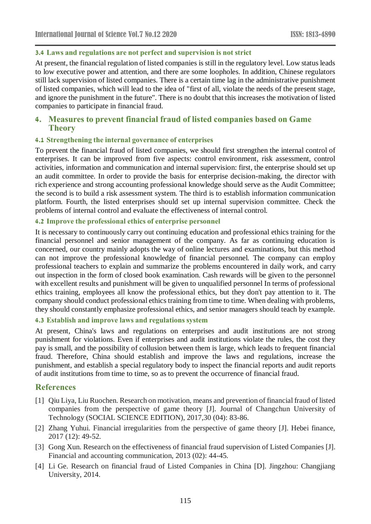#### **3.4 Laws and regulations are not perfect and supervision is not strict**

At present, the financial regulation of listed companies is still in the regulatory level. Low status leads to low executive power and attention, and there are some loopholes. In addition, Chinese regulators still lack supervision of listed companies. There is a certain time lag in the administrative punishment of listed companies, which will lead to the idea of "first of all, violate the needs of the present stage, and ignore the punishment in the future". There is no doubt that this increases the motivation of listed companies to participate in financial fraud.

### **4. Measures to prevent financial fraud of listed companies based on Game Theory**

#### **4.1 Strengthening the internal governance of enterprises**

To prevent the financial fraud of listed companies, we should first strengthen the internal control of enterprises. It can be improved from five aspects: control environment, risk assessment, control activities, information and communication and internal supervision: first, the enterprise should set up an audit committee. In order to provide the basis for enterprise decision-making, the director with rich experience and strong accounting professional knowledge should serve as the Audit Committee; the second is to build a risk assessment system. The third is to establish information communication platform. Fourth, the listed enterprises should set up internal supervision committee. Check the problems of internal control and evaluate the effectiveness of internal control.

#### **4.2 Improve the professional ethics of enterprise personnel**

It is necessary to continuously carry out continuing education and professional ethics training for the financial personnel and senior management of the company. As far as continuing education is concerned, our country mainly adopts the way of online lectures and examinations, but this method can not improve the professional knowledge of financial personnel. The company can employ professional teachers to explain and summarize the problems encountered in daily work, and carry out inspection in the form of closed book examination. Cash rewards will be given to the personnel with excellent results and punishment will be given to unqualified personnel In terms of professional ethics training, employees all know the professional ethics, but they don't pay attention to it. The company should conduct professional ethics training from time to time. When dealing with problems, they should constantly emphasize professional ethics, and senior managers should teach by example.

#### **4.3 Establish and improve laws and regulations system**

At present, China's laws and regulations on enterprises and audit institutions are not strong punishment for violations. Even if enterprises and audit institutions violate the rules, the cost they pay is small, and the possibility of collusion between them is large, which leads to frequent financial fraud. Therefore, China should establish and improve the laws and regulations, increase the punishment, and establish a special regulatory body to inspect the financial reports and audit reports of audit institutions from time to time, so as to prevent the occurrence of financial fraud.

### **References**

- [1] Qiu Liya, Liu Ruochen. Research on motivation, means and prevention of financial fraud of listed companies from the perspective of game theory [J]. Journal of Changchun University of Technology (SOCIAL SCIENCE EDITION), 2017,30 (04): 83-86.
- [2] Zhang Yuhui. Financial irregularities from the perspective of game theory [J]. Hebei finance, 2017 (12): 49-52.
- [3] Gong Xun. Research on the effectiveness of financial fraud supervision of Listed Companies [J]. Financial and accounting communication, 2013 (02): 44-45.
- [4] Li Ge. Research on financial fraud of Listed Companies in China [D]. Jingzhou: Changjiang University, 2014.